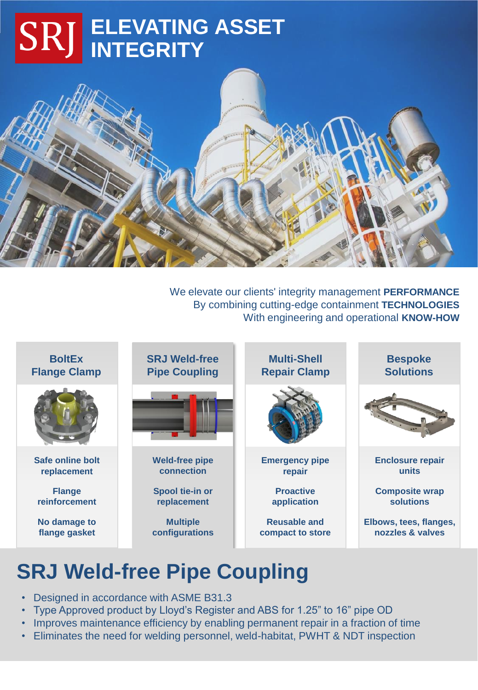# **ELEVATING ASSET INTEGRITY**



We elevate our clients' integrity management **PERFORMANCE** By combining cutting-edge containment **TECHNOLOGIES** With engineering and operational **KNOW-HOW**



## **SRJ Weld-free Pipe Coupling**

- Designed in accordance with ASME B31.3
- Type Approved product by Lloyd's Register and ABS for 1.25" to 16" pipe OD
- Improves maintenance efficiency by enabling permanent repair in a fraction of time
- Eliminates the need for welding personnel, weld-habitat, PWHT & NDT inspection